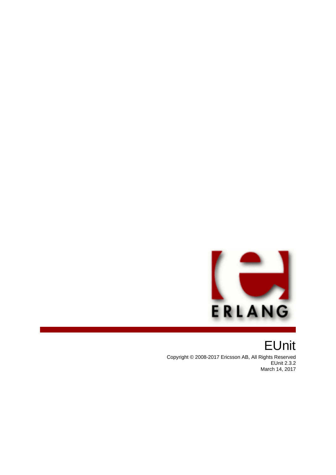

**EUnit** Copyright © 2008-2017 Ericsson AB, All Rights Reserved EUnit 2.3.2 March 14, 2017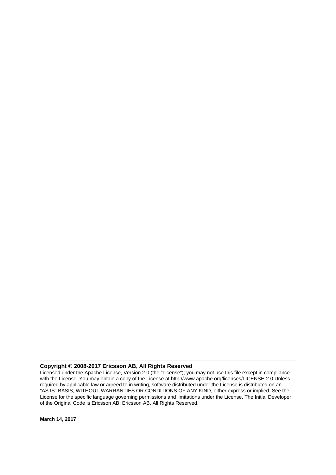#### **Copyright © 2008-2017 Ericsson AB, All Rights Reserved**

Licensed under the Apache License, Version 2.0 (the "License"); you may not use this file except in compliance with the License. You may obtain a copy of the License at http://www.apache.org/licenses/LICENSE-2.0 Unless required by applicable law or agreed to in writing, software distributed under the License is distributed on an "AS IS" BASIS, WITHOUT WARRANTIES OR CONDITIONS OF ANY KIND, either express or implied. See the License for the specific language governing permissions and limitations under the License. The Initial Developer of the Original Code is Ericsson AB. Ericsson AB, All Rights Reserved.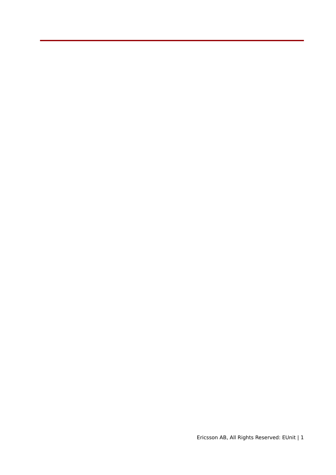Ericsson AB, All Rights Reserved: EUnit | 1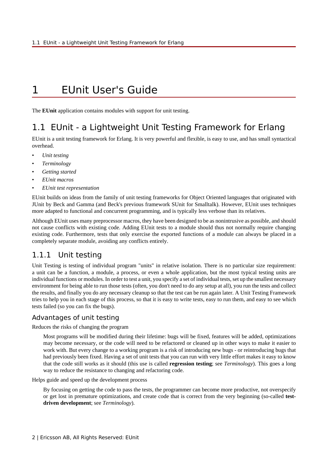# 1 EUnit User's Guide

The **EUnit** application contains modules with support for unit testing.

# 1.1 EUnit - a Lightweight Unit Testing Framework for Erlang

EUnit is a unit testing framework for Erlang. It is very powerful and flexible, is easy to use, and has small syntactical overhead.

- *Unit testing*
- *Terminology*
- *Getting started*
- *EUnit macros*
- *EUnit test representation*

EUnit builds on ideas from the family of unit testing frameworks for Object Oriented languages that originated with JUnit by Beck and Gamma (and Beck's previous framework SUnit for Smalltalk). However, EUnit uses techniques more adapted to functional and concurrent programming, and is typically less verbose than its relatives.

Although EUnit uses many preprocessor macros, they have been designed to be as nonintrusive as possible, and should not cause conflicts with existing code. Adding EUnit tests to a module should thus not normally require changing existing code. Furthermore, tests that only exercise the exported functions of a module can always be placed in a completely separate module, avoiding any conflicts entirely.

# 1.1.1 Unit testing

Unit Testing is testing of individual program "units" in relative isolation. There is no particular size requirement: a unit can be a function, a module, a process, or even a whole application, but the most typical testing units are individual functions or modules. In order to test a unit, you specify a set of individual tests, set up the smallest necessary environment for being able to run those tests (often, you don't need to do any setup at all), you run the tests and collect the results, and finally you do any necessary cleanup so that the test can be run again later. A Unit Testing Framework tries to help you in each stage of this process, so that it is easy to write tests, easy to run them, and easy to see which tests failed (so you can fix the bugs).

# Advantages of unit testing

Reduces the risks of changing the program

Most programs will be modified during their lifetime: bugs will be fixed, features will be added, optimizations may become necessary, or the code will need to be refactored or cleaned up in other ways to make it easier to work with. But every change to a working program is a risk of introducing new bugs - or reintroducing bugs that had previously been fixed. Having a set of unit tests that you can run with very little effort makes it easy to know that the code still works as it should (this use is called **regression testing**; see *Terminology*). This goes a long way to reduce the resistance to changing and refactoring code.

Helps guide and speed up the development process

By focusing on getting the code to pass the tests, the programmer can become more productive, not overspecify or get lost in premature optimizations, and create code that is correct from the very beginning (so-called **testdriven development**; see *Terminology*).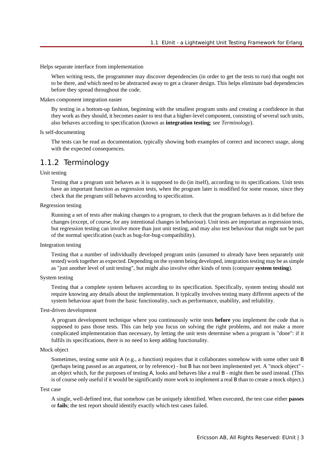Helps separate interface from implementation

When writing tests, the programmer may discover dependencies (in order to get the tests to run) that ought not to be there, and which need to be abstracted away to get a cleaner design. This helps eliminate bad dependencies before they spread throughout the code.

#### Makes component integration easier

By testing in a bottom-up fashion, beginning with the smallest program units and creating a confidence in that they work as they should, it becomes easier to test that a higher-level component, consisting of several such units, also behaves according to specification (known as **integration testing**; see *Terminology*).

#### Is self-documenting

The tests can be read as documentation, typically showing both examples of correct and incorrect usage, along with the expected consequences.

# 1.1.2 Terminology

Unit testing

Testing that a program unit behaves as it is supposed to do (in itself), according to its specifications. Unit tests have an important function as regression tests, when the program later is modified for some reason, since they check that the program still behaves according to specification.

#### Regression testing

Running a set of tests after making changes to a program, to check that the program behaves as it did before the changes (except, of course, for any intentional changes in behaviour). Unit tests are important as regression tests, but regression testing can involve more than just unit testing, and may also test behaviour that might not be part of the normal specification (such as bug-for-bug-compatibility).

#### Integration testing

Testing that a number of individually developed program units (assumed to already have been separately unit tested) work together as expected. Depending on the system being developed, integration testing may be as simple as "just another level of unit testing", but might also involve other kinds of tests (compare **system testing**).

#### System testing

Testing that a complete system behaves according to its specification. Specifically, system testing should not require knowing any details about the implementation. It typically involves testing many different aspects of the system behaviour apart from the basic functionality, such as performance, usability, and reliability.

#### Test-driven development

A program development technique where you continuously write tests **before** you implement the code that is supposed to pass those tests. This can help you focus on solving the right problems, and not make a more complicated implementation than necessary, by letting the unit tests determine when a program is "done": if it fulfils its specifications, there is no need to keep adding functionality.

#### Mock object

Sometimes, testing some unit A (e.g., a function) requires that it collaborates somehow with some other unit B (perhaps being passed as an argument, or by reference) - but B has not been implemented yet. A "mock object" an object which, for the purposes of testing A, looks and behaves like a real B - might then be used instead. (This is of course only useful if it would be significantly more work to implement a real B than to create a mock object.)

#### Test case

A single, well-defined test, that somehow can be uniquely identified. When executed, the test case either **passes** or **fails**; the test report should identify exactly which test cases failed.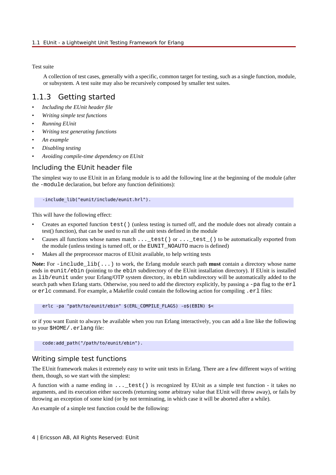Test suite

A collection of test cases, generally with a specific, common target for testing, such as a single function, module, or subsystem. A test suite may also be recursively composed by smaller test suites.

# 1.1.3 Getting started

- *Including the EUnit header file*
- *Writing simple test functions*
- *Running EUnit*
- *Writing test generating functions*
- *An example*
- *Disabling testing*
- *Avoiding compile-time dependency on EUnit*

# Including the EUnit header file

The simplest way to use EUnit in an Erlang module is to add the following line at the beginning of the module (after the -module declaration, but before any function definitions):

-include lib("eunit/include/eunit.hrl").

This will have the following effect:

- Creates an exported function test() (unless testing is turned off, and the module does not already contain a test() function), that can be used to run all the unit tests defined in the module
- Causes all functions whose names match ...  $test()$  or ...  $test()$  to be automatically exported from the module (unless testing is turned off, or the EUNIT\_NOAUTO macro is defined)
- Makes all the preprocessor macros of EUnit available, to help writing tests

**Note:** For  $-\text{include}$  lib(...) to work, the Erlang module search path **must** contain a directory whose name ends in eunit/ebin (pointing to the ebin subdirectory of the EUnit installation directory). If EUnit is installed as lib/eunit under your Erlang/OTP system directory, its ebin subdirectory will be automatically added to the search path when Erlang starts. Otherwise, you need to add the directory explicitly, by passing a -pa flag to the erl or erlc command. For example, a Makefile could contain the following action for compiling .erl files:

erlc -pa "path/to/eunit/ebin" \$(ERL\_COMPILE\_FLAGS) -o\$(EBIN) \$<

or if you want Eunit to always be available when you run Erlang interactively, you can add a line like the following to your \$HOME/.erlang file:

code:add\_path("/path/to/eunit/ebin").

# Writing simple test functions

The EUnit framework makes it extremely easy to write unit tests in Erlang. There are a few different ways of writing them, though, so we start with the simplest:

A function with a name ending in ...\_test() is recognized by EUnit as a simple test function - it takes no arguments, and its execution either succeeds (returning some arbitrary value that EUnit will throw away), or fails by throwing an exception of some kind (or by not terminating, in which case it will be aborted after a while).

An example of a simple test function could be the following: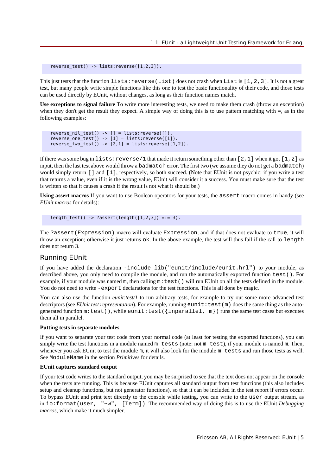```
reverse test() -> lists:reverse([1,2,3]).
```
This just tests that the function lists: reverse (List) does not crash when List is  $[1, 2, 3]$ . It is not a great test, but many people write simple functions like this one to test the basic functionality of their code, and those tests can be used directly by EUnit, without changes, as long as their function names match.

**Use exceptions to signal failure** To write more interesting tests, we need to make them crash (throw an exception) when they don't get the result they expect. A simple way of doing this is to use pattern matching with =, as in the following examples:

```
 reverse_nil_test() -> [] = lists:reverse([]).
 reverse_one_test() -> [1] = lists:reverse([1]).
  reverse_two_test() \rightarrow [2,1] = lists:reverse([1,2]).
```
If there was some bug in lists: $reverse/1$  that made it return something other than [2,1] when it got [1,2] as input, then the last test above would throw a badmatch error. The first two (we assume they do not get a badmatch) would simply return [] and [1], respectively, so both succeed. (Note that EUnit is not psychic: if you write a test that returns a value, even if it is the wrong value, EUnit will consider it a success. You must make sure that the test is written so that it causes a crash if the result is not what it should be.)

**Using assert macros** If you want to use Boolean operators for your tests, the assert macro comes in handy (see *EUnit macros* for details):

 $length_test() -> ? assert(length([1,2,3]) == 3).$ 

The ?assert(Expression) macro will evaluate Expression, and if that does not evaluate to true, it will throw an exception; otherwise it just returns ok. In the above example, the test will thus fail if the call to length does not return 3.

# Running EUnit

If you have added the declaration -include\_lib("eunit/include/eunit.hrl") to your module, as described above, you only need to compile the module, and run the automatically exported function test(). For example, if your module was named m, then calling  $m: \text{test}($ ) will run EUnit on all the tests defined in the module. You do not need to write  $-\epsilon x$  port declarations for the test functions. This is all done by magic.

You can also use the function *eunit:test/1* to run arbitrary tests, for example to try out some more advanced test descriptors (see *EUnit test representation*). For example, running eunit: test(m) does the same thing as the autogenerated function  $m:test($ , while eunit:test({inparallel,  $m$ }) runs the same test cases but executes them all in parallel.

#### **Putting tests in separate modules**

If you want to separate your test code from your normal code (at least for testing the exported functions), you can simply write the test functions in a module named  $m$  tests (note: not  $m$  test), if your module is named m. Then, whenever you ask EUnit to test the module m, it will also look for the module m\_tests and run those tests as well. See ModuleName in the section *Primitives* for details.

#### **EUnit captures standard output**

If your test code writes to the standard output, you may be surprised to see that the text does not appear on the console when the tests are running. This is because EUnit captures all standard output from test functions (this also includes setup and cleanup functions, but not generator functions), so that it can be included in the test report if errors occur. To bypass EUnit and print text directly to the console while testing, you can write to the user output stream, as in io:format(user, "~w", [Term]). The recommended way of doing this is to use the EUnit *Debugging macros*, which make it much simpler.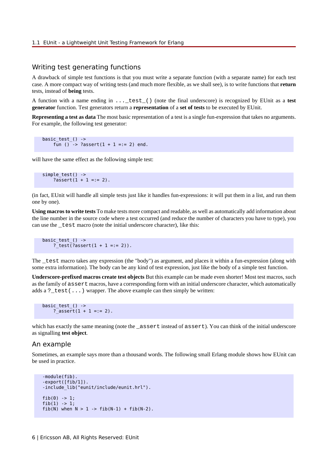## Writing test generating functions

A drawback of simple test functions is that you must write a separate function (with a separate name) for each test case. A more compact way of writing tests (and much more flexible, as we shall see), is to write functions that **return** tests, instead of **being** tests.

A function with a name ending in ...\_test\_() (note the final underscore) is recognized by EUnit as a **test generator** function. Test generators return a **representation** of a **set of tests** to be executed by EUnit.

**Representing a test as data** The most basic representation of a test is a single fun-expression that takes no arguments. For example, the following test generator:

```
 basic_test_() ->
    fun () -> ?assert(1 + 1 == 2) end.
```
will have the same effect as the following simple test:

```
simple test() \rightarrow?assert(1 + 1 == 2).
```
(in fact, EUnit will handle all simple tests just like it handles fun-expressions: it will put them in a list, and run them one by one).

**Using macros to write tests** To make tests more compact and readable, as well as automatically add information about the line number in the source code where a test occurred (and reduce the number of characters you have to type), you can use the test macro (note the initial underscore character), like this:

```
basic test () ->
   ? test(?assert(1 + 1 == 2)).
```
The \_test macro takes any expression (the "body") as argument, and places it within a fun-expression (along with some extra information). The body can be any kind of test expression, just like the body of a simple test function.

**Underscore-prefixed macros create test objects** But this example can be made even shorter! Most test macros, such as the family of assert macros, have a corresponding form with an initial underscore character, which automatically adds a ? test( $\dots$ ) wrapper. The above example can then simply be written:

```
basic test () ->
    ?_assert(1 + 1 == 2).
```
which has exactly the same meaning (note the \_assert instead of assert). You can think of the initial underscore as signalling **test object**.

# An example

Sometimes, an example says more than a thousand words. The following small Erlang module shows how EUnit can be used in practice.

```
 -module(fib).
 -export([fib/1]).
 -include_lib("eunit/include/eunit.hrl").
fib(0) -> 1;
fib(1) -> 1;
fib(N) when N > 1 -> fib(N-1) + fib(N-2).
```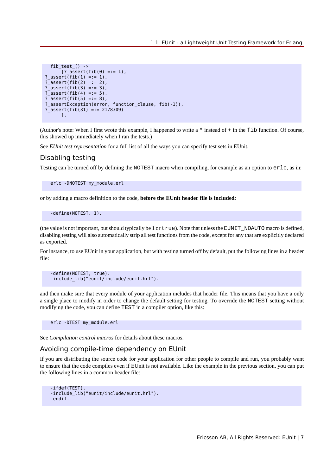```
fib test () ->
      [? assert(fib(0) =:= 1),
?_assert(tib(1) == 1),
? _assert(fib(2) =:= 2),
?_assert(fib(3) =:= 3),
? \bar{a}ssert(fib(4) =:= 5),
?_assert(fib(5) =:= 8),
? assertException(error, function clause, fib(-1)),
 ?_assert(fib(31) =:= 2178309)
       ].
```
(Author's note: When I first wrote this example, I happened to write a  $*$  instead of  $+$  in the fib function. Of course, this showed up immediately when I ran the tests.)

See *EUnit test representation* for a full list of all the ways you can specify test sets in EUnit.

## Disabling testing

Testing can be turned off by defining the NOTEST macro when compiling, for example as an option to erlc, as in:

erlc -DNOTEST my\_module.erl

or by adding a macro definition to the code, **before the EUnit header file is included**:

```
 -define(NOTEST, 1).
```
(the value is not important, but should typically be 1 or true). Note that unless the EUNIT\_NOAUTO macro is defined, disabling testing will also automatically strip all test functions from the code, except for any that are explicitly declared as exported.

For instance, to use EUnit in your application, but with testing turned off by default, put the following lines in a header file:

```
 -define(NOTEST, true).
-include lib("eunit/include/eunit.hrl").
```
and then make sure that every module of your application includes that header file. This means that you have a only a single place to modify in order to change the default setting for testing. To override the NOTEST setting without modifying the code, you can define TEST in a compiler option, like this:

erlc -DTEST my\_module.erl

See *Compilation control macros* for details about these macros.

## Avoiding compile-time dependency on EUnit

If you are distributing the source code for your application for other people to compile and run, you probably want to ensure that the code compiles even if EUnit is not available. Like the example in the previous section, you can put the following lines in a common header file:

```
 -ifdef(TEST).
 -include_lib("eunit/include/eunit.hrl").
 -endif.
```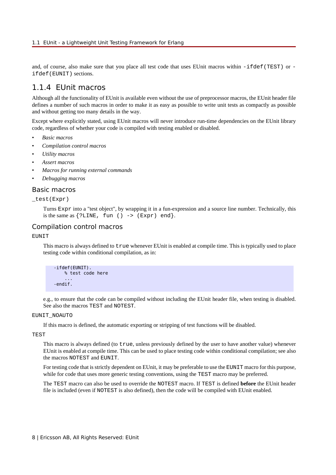and, of course, also make sure that you place all test code that uses EUnit macros within -ifdef(TEST) or ifdef(EUNIT) sections.

# 1.1.4 EUnit macros

Although all the functionality of EUnit is available even without the use of preprocessor macros, the EUnit header file defines a number of such macros in order to make it as easy as possible to write unit tests as compactly as possible and without getting too many details in the way.

Except where explicitly stated, using EUnit macros will never introduce run-time dependencies on the EUnit library code, regardless of whether your code is compiled with testing enabled or disabled.

- *Basic macros*
- *Compilation control macros*
- *Utility macros*
- *Assert macros*
- *Macros for running external commands*
- *Debugging macros*

## Basic macros

\_test(Expr)

Turns Expr into a "test object", by wrapping it in a fun-expression and a source line number. Technically, this is the same as  ${?LINE, fun () \rightarrow (Expr) end}.$ 

# Compilation control macros

EUNIT

This macro is always defined to true whenever EUnit is enabled at compile time. This is typically used to place testing code within conditional compilation, as in:

```
 -ifdef(EUNIT).
       % test code here
 ...
 -endif.
```
e.g., to ensure that the code can be compiled without including the EUnit header file, when testing is disabled. See also the macros TEST and NOTEST.

#### EUNIT\_NOAUTO

If this macro is defined, the automatic exporting or stripping of test functions will be disabled.

# TEST

This macro is always defined (to true, unless previously defined by the user to have another value) whenever EUnit is enabled at compile time. This can be used to place testing code within conditional compilation; see also the macros NOTEST and EUNIT.

For testing code that is strictly dependent on EUnit, it may be preferable to use the EUNIT macro for this purpose, while for code that uses more generic testing conventions, using the TEST macro may be preferred.

The TEST macro can also be used to override the NOTEST macro. If TEST is defined **before** the EUnit header file is included (even if NOTEST is also defined), then the code will be compiled with EUnit enabled.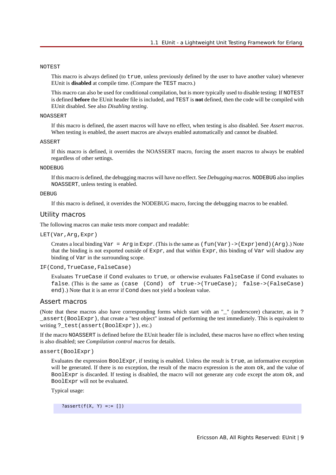### NOTEST

This macro is always defined (to true, unless previously defined by the user to have another value) whenever EUnit is **disabled** at compile time. (Compare the TEST macro.)

This macro can also be used for conditional compilation, but is more typically used to disable testing: If NOTEST is defined **before** the EUnit header file is included, and TEST is **not** defined, then the code will be compiled with EUnit disabled. See also *Disabling testing*.

### NOASSERT

If this macro is defined, the assert macros will have no effect, when testing is also disabled. See *Assert macros*. When testing is enabled, the assert macros are always enabled automatically and cannot be disabled.

#### ASSERT

If this macro is defined, it overrides the NOASSERT macro, forcing the assert macros to always be enabled regardless of other settings.

#### NODEBUG

If this macro is defined, the debugging macros will have no effect. See *Debugging macros*. NODEBUG also implies NOASSERT, unless testing is enabled.

#### DEBUG

If this macro is defined, it overrides the NODEBUG macro, forcing the debugging macros to be enabled.

#### Utility macros

The following macros can make tests more compact and readable:

```
LET(Var,Arg,Expr)
```
Creates a local binding Var = Arg in Expr. (This is the same as  $(\text{fun}(Var) ->(\text{Expr})\text{end})(Arg)$ .) Note that the binding is not exported outside of  $\text{Expr}$ , and that within  $\text{Expr}$ , this binding of  $\text{Var}$  will shadow any binding of Var in the surrounding scope.

#### IF(Cond,TrueCase,FalseCase)

Evaluates TrueCase if Cond evaluates to true, or otherwise evaluates FalseCase if Cond evaluates to false. (This is the same as (case (Cond) of true->(TrueCase); false->(FalseCase) end).) Note that it is an error if Cond does not yield a boolean value.

# Assert macros

(Note that these macros also have corresponding forms which start with an " " (underscore) character, as in ? \_assert(BoolExpr), that create a "test object" instead of performing the test immediately. This is equivalent to writing ? test(assert(BoolExpr)), etc.)

If the macro NOASSERT is defined before the EUnit header file is included, these macros have no effect when testing is also disabled; see *Compilation control macros* for details.

#### assert(BoolExpr)

Evaluates the expression BoolExpr, if testing is enabled. Unless the result is true, an informative exception will be generated. If there is no exception, the result of the macro expression is the atom  $\alpha$ k, and the value of BoolExpr is discarded. If testing is disabled, the macro will not generate any code except the atom ok, and BoolExpr will not be evaluated.

Typical usage:

?assert(f(X, Y) =:=  $[]$ )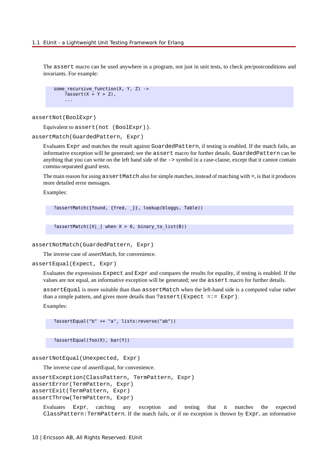The assert macro can be used anywhere in a program, not just in unit tests, to check pre/postconditions and invariants. For example:

```
some recursive function(X, Y, Z) ->
    ?assert(X + Y > Z),
     ...
```
assertNot(BoolExpr)

Equivalent to assert(not (BoolExpr)).

assertMatch(GuardedPattern, Expr)

Evaluates Expr and matches the result against GuardedPattern, if testing is enabled. If the match fails, an informative exception will be generated; see the assert macro for further details. GuardedPattern can be anything that you can write on the left hand side of the -> symbol in a case-clause, except that it cannot contain comma-separated guard tests.

The main reason for using  $a$ ssertMatch also for simple matches, instead of matching with  $=$ , is that it produces more detailed error messages.

Examples:

?assertMatch({found, {fred, \_}}, lookup(bloggs, Table))

?assertMatch( $[X|]$  when  $X > 0$ , binary to list(B))

assertNotMatch(GuardedPattern, Expr)

The inverse case of assertMatch, for convenience.

```
assertEqual(Expect, Expr)
```
Evaluates the expressions Expect and Expr and compares the results for equality, if testing is enabled. If the values are not equal, an informative exception will be generated; see the assert macro for further details.

assertEqual is more suitable than than assertMatch when the left-hand side is a computed value rather than a simple pattern, and gives more details than ?assert(Expect =:= Expr).

Examples:

```
 ?assertEqual("b" ++ "a", lists:reverse("ab"))
```
?assertEqual(foo(X), bar(Y))

assertNotEqual(Unexpected, Expr)

The inverse case of assertEqual, for convenience.

```
assertException(ClassPattern, TermPattern, Expr)
assertError(TermPattern, Expr)
assertExit(TermPattern, Expr)
assertThrow(TermPattern, Expr)
```
Evaluates Expr, catching any exception and testing that it matches the expected ClassPattern:TermPattern. If the match fails, or if no exception is thrown by Expr, an informative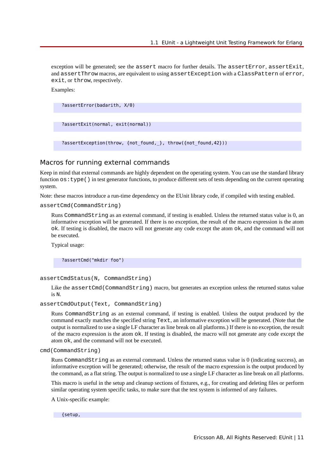exception will be generated; see the assert macro for further details. The assertError, assertExit, and assertThrow macros, are equivalent to using assertException with a ClassPattern of error, exit, or throw, respectively.

Examples:

```
 ?assertError(badarith, X/0)
```

```
 ?assertExit(normal, exit(normal))
```

```
 ?assertException(throw, {not_found,_}, throw({not_found,42}))
```
# Macros for running external commands

Keep in mind that external commands are highly dependent on the operating system. You can use the standard library function  $\circ s: type($  in test generator functions, to produce different sets of tests depending on the current operating system.

Note: these macros introduce a run-time dependency on the EUnit library code, if compiled with testing enabled.

```
assertCmd(CommandString)
```
Runs CommandString as an external command, if testing is enabled. Unless the returned status value is 0, an informative exception will be generated. If there is no exception, the result of the macro expression is the atom ok. If testing is disabled, the macro will not generate any code except the atom ok, and the command will not be executed.

Typical usage:

?assertCmd("mkdir foo")

assertCmdStatus(N, CommandString)

Like the assert Cmd (CommandString) macro, but generates an exception unless the returned status value is N.

assertCmdOutput(Text, CommandString)

Runs CommandString as an external command, if testing is enabled. Unless the output produced by the command exactly matches the specified string Text, an informative exception will be generated. (Note that the output is normalized to use a single LF character as line break on all platforms.) If there is no exception, the result of the macro expression is the atom ok. If testing is disabled, the macro will not generate any code except the atom ok, and the command will not be executed.

cmd(CommandString)

Runs CommandString as an external command. Unless the returned status value is 0 (indicating success), an informative exception will be generated; otherwise, the result of the macro expression is the output produced by the command, as a flat string. The output is normalized to use a single LF character as line break on all platforms.

This macro is useful in the setup and cleanup sections of fixtures, e.g., for creating and deleting files or perform similar operating system specific tasks, to make sure that the test system is informed of any failures.

A Unix-specific example:

{setup,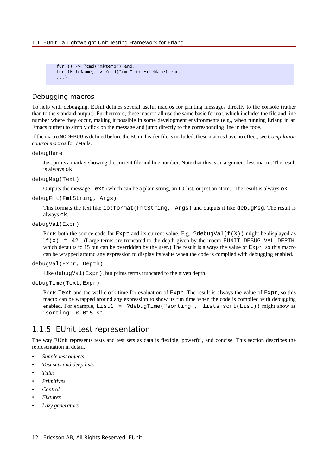```
 fun () -> ?cmd("mktemp") end,
 fun (FileName) -> ?cmd("rm " ++ FileName) end,
 ...}
```
# Debugging macros

To help with debugging, EUnit defines several useful macros for printing messages directly to the console (rather than to the standard output). Furthermore, these macros all use the same basic format, which includes the file and line number where they occur, making it possible in some development environments (e.g., when running Erlang in an Emacs buffer) to simply click on the message and jump directly to the corresponding line in the code.

If the macro NODEBUG is defined before the EUnit header file is included, these macros have no effect; see *Compilation control macros* for details.

debugHere

Just prints a marker showing the current file and line number. Note that this is an argument-less macro. The result is always ok.

debugMsg(Text)

Outputs the message Text (which can be a plain string, an IO-list, or just an atom). The result is always ok.

debugFmt(FmtString, Args)

This formats the text like io:format(FmtString, Args) and outputs it like debugMsg. The result is always ok.

debugVal(Expr)

Prints both the source code for Expr and its current value. E.g., ?debugVal( $f(X)$ ) might be displayed as " $f(X)$  = 42". (Large terms are truncated to the depth given by the macro EUNIT DEBUG VAL DEPTH, which defaults to 15 but can be overridden by the user.) The result is always the value of Expr, so this macro can be wrapped around any expression to display its value when the code is compiled with debugging enabled.

debugVal(Expr, Depth)

Like debugVal (Expr), but prints terms truncated to the given depth.

debugTime(Text,Expr)

Prints Text and the wall clock time for evaluation of Expr. The result is always the value of Expr, so this macro can be wrapped around any expression to show its run time when the code is compiled with debugging enabled. For example, List1 = ?debugTime("sorting", lists:sort(List)) might show as "sorting: 0.015 s".

# 1.1.5 EUnit test representation

The way EUnit represents tests and test sets as data is flexible, powerful, and concise. This section describes the representation in detail.

- *Simple test objects*
- *Test sets and deep lists*
- *Titles*
- *Primitives*
- *Control*
- *Fixtures*
- *Lazy generators*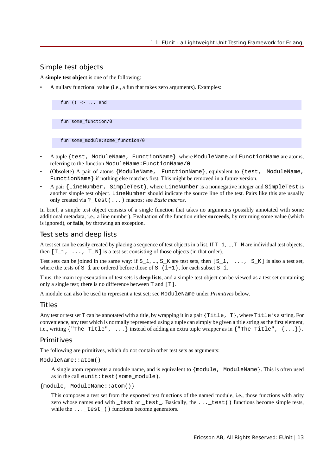# Simple test objects

A **simple test object** is one of the following:

• A nullary functional value (i.e., a fun that takes zero arguments). Examples:

fun () -> ... end

fun some\_function/0

fun some\_module:some\_function/0

- A tuple {test, ModuleName, FunctionName}, where ModuleName and FunctionName are atoms, referring to the function ModuleName:FunctionName/0
- (Obsolete) A pair of atoms {ModuleName, FunctionName}, equivalent to {test, ModuleName, FunctionName} if nothing else matches first. This might be removed in a future version.
- A pair {LineNumber, SimpleTest}, where LineNumber is a nonnegative integer and SimpleTest is another simple test object. LineNumber should indicate the source line of the test. Pairs like this are usually only created via ?\_test(...) macros; see *Basic macros*.

In brief, a simple test object consists of a single function that takes no arguments (possibly annotated with some additional metadata, i.e., a line number). Evaluation of the function either **succeeds**, by returning some value (which is ignored), or **fails**, by throwing an exception.

# Test sets and deep lists

A test set can be easily created by placing a sequence of test objects in a list. If  $T_1, ..., T_N$  are individual test objects, then  $[T_1, \ldots, T_N]$  is a test set consisting of those objects (in that order).

Test sets can be joined in the same way: if  $S_1$ , ...,  $S_K$  are test sets, then  $[S_1, \ldots, S_K]$  is also a test set, where the tests of  $S_i$  are ordered before those of  $S_i$  (i+1), for each subset  $S_i$ .

Thus, the main representation of test sets is **deep lists**, and a simple test object can be viewed as a test set containing only a single test; there is no difference between T and [T].

A module can also be used to represent a test set; see ModuleName under *Primitives* below.

# Titles

Any test or test set  $T$  can be annotated with a title, by wrapping it in a pair  $\{\text{Title}, T\}$ , where  $\text{Title}$  is a string. For convenience, any test which is normally represented using a tuple can simply be given a title string as the first element, i.e., writing {"The Title", ...} instead of adding an extra tuple wrapper as in {"The Title", {...}}.

# Primitives

The following are primitives, which do not contain other test sets as arguments:

ModuleName::atom()

A single atom represents a module name, and is equivalent to {module, ModuleName}. This is often used as in the call eunit: test (some\_module).

```
{module, ModuleName::atom()}
```
This composes a test set from the exported test functions of the named module, i.e., those functions with arity zero whose names end with test or test. Basically, the ... test() functions become simple tests, while the ...\_test\_() functions become generators.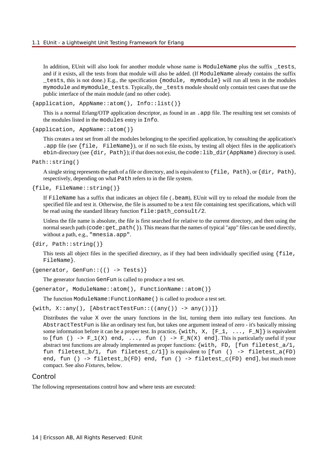In addition, EUnit will also look for another module whose name is ModuleName plus the suffix tests, and if it exists, all the tests from that module will also be added. (If ModuleName already contains the suffix  $_t$  tests, this is not done.) E.g., the specification {module, mymodule} will run all tests in the modules mymodule and mymodule tests. Typically, the tests module should only contain test cases that use the public interface of the main module (and no other code).

{application, AppName::atom(), Info::list()}

This is a normal Erlang/OTP application descriptor, as found in an .app file. The resulting test set consists of the modules listed in the modules entry in Info.

```
{application, AppName::atom()}
```
This creates a test set from all the modules belonging to the specified application, by consulting the application's .app file (see {file, FileName}), or if no such file exists, by testing all object files in the application's ebin-directory (see {dir, Path}); if that does not exist, the code: lib\_dir(AppName) directory is used.

```
Path::string()
```
A single string represents the path of a file or directory, and is equivalent to  $\{\text{file}, \text{Path}\}, \text{or } \{\text{dir}, \text{Path}\}, \text{or } \{\text{dir}, \text{Path}\}, \text{or } \{\text{dir}, \text{Path}\}, \text{or } \{\text{dir}, \text{Path}\}, \text{or } \{\text{dir}, \text{Path}\}, \text{or } \{\text{dir}, \text{Path}\}, \text{or } \{\text{dir}, \text{Path}\}, \text{or } \{\text$ respectively, depending on what Path refers to in the file system.

```
{file, FileName::string()}
```
If FileName has a suffix that indicates an object file (.beam), EUnit will try to reload the module from the specified file and test it. Otherwise, the file is assumed to be a text file containing test specifications, which will be read using the standard library function file:path\_consult/2.

Unless the file name is absolute, the file is first searched for relative to the current directory, and then using the normal search path (code:get\_path()). This means that the names of typical "app" files can be used directly, without a path, e.g., "mnesia.app".

```
{dir, Path::string()}
```
This tests all object files in the specified directory, as if they had been individually specified using {file, FileName}.

```
{qenerator, GenFun::(() -> Tests)}
```
The generator function GenFun is called to produce a test set.

{generator, ModuleName::atom(), FunctionName::atom()}

The function ModuleName:FunctionName() is called to produce a test set.

```
\{with, X::any(), [AbstractTestFun::((any()) -> any())]\}
```
Distributes the value X over the unary functions in the list, turning them into nullary test functions. An AbstractTestFun is like an ordinary test fun, but takes one argument instead of zero - it's basically missing some information before it can be a proper test. In practice,  $\{with, X, [F_1, \ldots, F_N] \}$  is equivalent to  $[fun ( ) \rightarrow F_1(X)$  end, ..., fun () ->  $F_N(X)$  end]. This is particularly useful if your abstract test functions are already implemented as proper functions:  $\{\text{with}, \text{ FD}, \text{ [fun filetest_a/1,} \}$ fun filetest\_b/1, fun filetest\_c/1]} is equivalent to [fun () -> filetest\_a(FD) end, fun () -> filetest\_b(FD) end, fun () -> filetest\_c(FD) end], but much more compact. See also *Fixtures*, below.

### Control

The following representations control how and where tests are executed: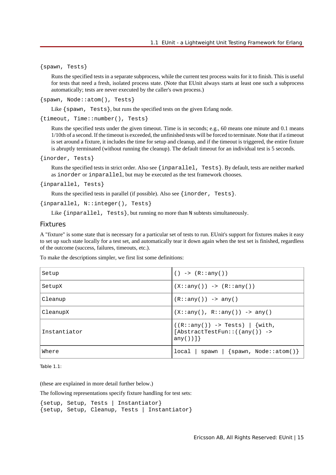{spawn, Tests}

Runs the specified tests in a separate subprocess, while the current test process waits for it to finish. This is useful for tests that need a fresh, isolated process state. (Note that EUnit always starts at least one such a subprocess automatically; tests are never executed by the caller's own process.)

```
{spawn, Node::atom(), Tests}
```
Like {spawn, Tests}, but runs the specified tests on the given Erlang node.

```
{timeout, Time::number(), Tests}
```
Runs the specified tests under the given timeout. Time is in seconds; e.g., 60 means one minute and 0.1 means 1/10th of a second. If the timeout is exceeded, the unfinished tests will be forced to terminate. Note that if a timeout is set around a fixture, it includes the time for setup and cleanup, and if the timeout is triggered, the entire fixture is abruptly terminated (without running the cleanup). The default timeout for an individual test is 5 seconds.

```
{inorder, Tests}
```
Runs the specified tests in strict order. Also see {inparallel, Tests}. By default, tests are neither marked as inorder or inparallel, but may be executed as the test framework chooses.

```
{inparallel, Tests}
```
Runs the specified tests in parallel (if possible). Also see {inorder, Tests}.

{inparallel, N::integer(), Tests}

Like {inparallel, Tests}, but running no more than N subtests simultaneously.

#### Fixtures

A "fixture" is some state that is necessary for a particular set of tests to run. EUnit's support for fixtures makes it easy to set up such state locally for a test set, and automatically tear it down again when the test set is finished, regardless of the outcome (success, failures, timeouts, etc.).

To make the descriptions simpler, we first list some definitions:

| Setup        | () $\rightarrow$ (R::any())                                                                            |
|--------------|--------------------------------------------------------------------------------------------------------|
| SetupX       | $(X:any() ) \rightarrow (R:any())$                                                                     |
| Cleanup      | $(R:any() ) \rightarrow any()$                                                                         |
| CleanupX     | $(X:any()$ , $R:any()$ $\rightarrow any()$                                                             |
| Instantiator | $((R:any()) \rightarrow Tests) \mid \{with,$<br>$[AbstractTestFun::((any()) \rightarrow$<br>$any()$ ]} |
| Where        | $local   spam   {spam, Node::atom() }$                                                                 |

Table  $1.1$ 

(these are explained in more detail further below.)

The following representations specify fixture handling for test sets:

{setup, Setup, Tests | Instantiator} {setup, Setup, Cleanup, Tests | Instantiator}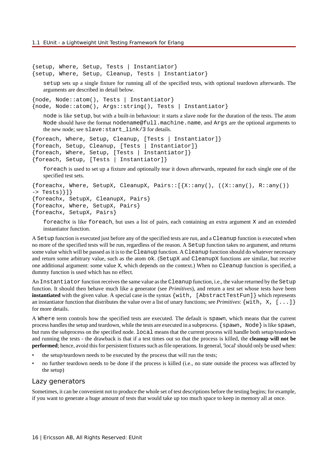{setup, Where, Setup, Tests | Instantiator} {setup, Where, Setup, Cleanup, Tests | Instantiator} setup sets up a single fixture for running all of the specified tests, with optional teardown afterwards. The arguments are described in detail below. {node, Node::atom(), Tests | Instantiator} {node, Node::atom(), Args::string(), Tests | Instantiator} node is like setup, but with a built-in behaviour: it starts a slave node for the duration of the tests. The atom Node should have the format nodename@full.machine.name, and Args are the optional arguments to the new node; see slave:start\_link/3 for details. {foreach, Where, Setup, Cleanup, [Tests | Instantiator]} {foreach, Setup, Cleanup, [Tests | Instantiator]}

```
{foreach, Where, Setup, [Tests | Instantiator]}
{foreach, Setup, [Tests | Instantiator]}
```
foreach is used to set up a fixture and optionally tear it down afterwards, repeated for each single one of the specified test sets.

```
{foreachx, Where, SetupX, CleanupX, Pairs::[\{X: \text{any}(), ((X: \text{any}()), R: \text{any}())\}-> Tests)}]}
{foreachx, SetupX, CleanupX, Pairs}
{foreachx, Where, SetupX, Pairs}
{foreachx, SetupX, Pairs}
```
foreachx is like foreach, but uses a list of pairs, each containing an extra argument X and an extended instantiator function.

A Setup function is executed just before any of the specified tests are run, and a Cleanup function is executed when no more of the specified tests will be run, regardless of the reason. A Setup function takes no argument, and returns some value which will be passed as it is to the Cleanup function. A Cleanup function should do whatever necessary and return some arbitrary value, such as the atom ok. (SetupX and CleanupX functions are similar, but receive one additional argument: some value X, which depends on the context.) When no Cleanup function is specified, a dummy function is used which has no effect.

An Instantiator function receives the same value as the Cleanup function, i.e., the value returned by the Setup function. It should then behave much like a generator (see *Primitives*), and return a test set whose tests have been **instantiated** with the given value. A special case is the syntax {with, [AbstractTestFun]} which represents an instantiator function that distributes the value over a list of unary functions; see *Primitives*: {with, X, [...]} for more details.

A Where term controls how the specified tests are executed. The default is spawn, which means that the current process handles the setup and teardown, while the tests are executed in a subprocess.  $\{$  spawn, Node $\}$  is like spawn, but runs the subprocess on the specified node. local means that the current process will handle both setup/teardown and running the tests - the drawback is that if a test times out so that the process is killed, the **cleanup will not be performed**; hence, avoid this for persistent fixtures such as file operations. In general, 'local' should only be used when:

- the setup/teardown needs to be executed by the process that will run the tests;
- no further teardown needs to be done if the process is killed (i.e., no state outside the process was affected by the setup)

### Lazy generators

Sometimes, it can be convenient not to produce the whole set of test descriptions before the testing begins; for example, if you want to generate a huge amount of tests that would take up too much space to keep in memory all at once.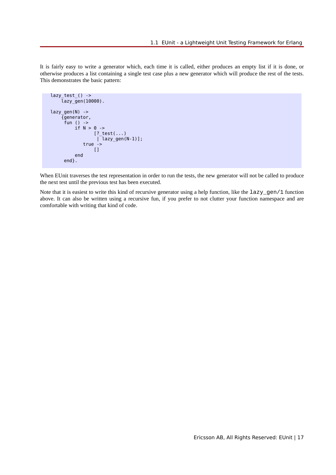It is fairly easy to write a generator which, each time it is called, either produces an empty list if it is done, or otherwise produces a list containing a single test case plus a new generator which will produce the rest of the tests. This demonstrates the basic pattern:

```
lazy_test() ->\overline{1}azy_gen(10000).
 lazy_gen(N) ->
      {generator,
     fun() ->
          if N > 0 ->
                    [?_test(...)
                   \vert lazy_gen(N-1)];
               true ->
                   \prod end
      end}.
```
When EUnit traverses the test representation in order to run the tests, the new generator will not be called to produce the next test until the previous test has been executed.

Note that it is easiest to write this kind of recursive generator using a help function, like the lazy\_gen/1 function above. It can also be written using a recursive fun, if you prefer to not clutter your function namespace and are comfortable with writing that kind of code.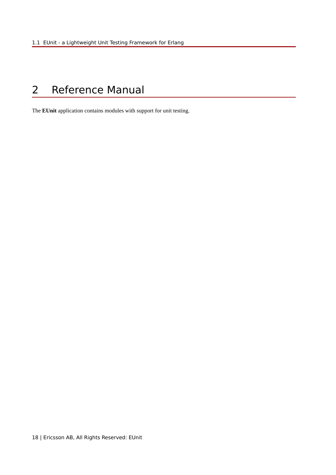# 2 Reference Manual

The **EUnit** application contains modules with support for unit testing.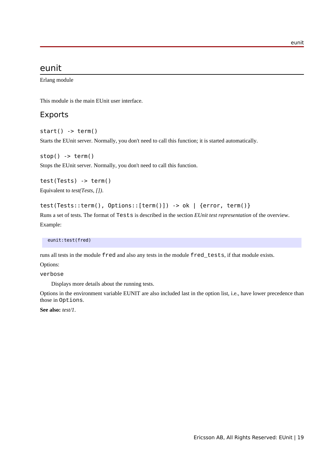#### eunit

# eunit

Erlang module

This module is the main EUnit user interface.

# Exports

 $start()$  ->  $term()$ Starts the EUnit server. Normally, you don't need to call this function; it is started automatically.

 $stop() \rightarrow term()$ Stops the EUnit server. Normally, you don't need to call this function.

```
test(Tests) -> term()
Equivalent to test(Tests, []).
```
## test(Tests::term(), Options::[term()]) -> ok | {error, term()}

Runs a set of tests. The format of Tests is described in the section *EUnit test representation* of the overview. Example:

eunit:test(fred)

runs all tests in the module fred and also any tests in the module fred\_tests, if that module exists.

Options:

verbose

Displays more details about the running tests.

Options in the environment variable EUNIT are also included last in the option list, i.e., have lower precedence than those in Options.

**See also:** *test/1*.